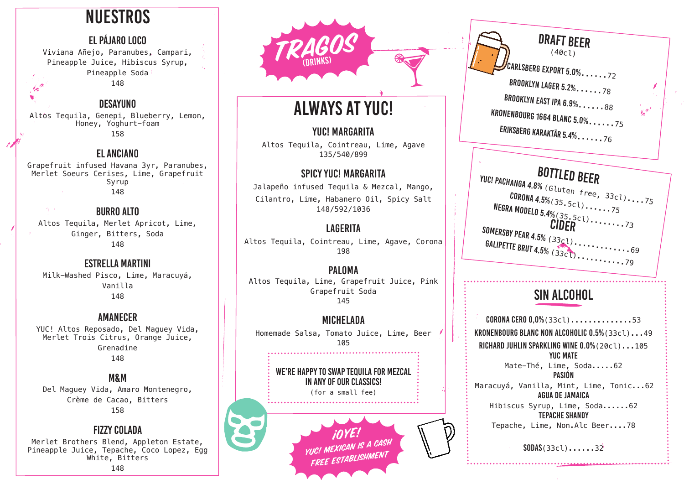# **NUESTROS**

## El pájaro Loco

Viviana Añejo, Paranubes, Campari, Pineapple Juice, Hibiscus Syrup, Pineapple Soda 148 t pi

# Desayuno

×

Altos Tequila, Genepi, Blueberry, Lemon, Honey, Yoghurt-foam 158

# El anciano

Grapefruit infused Havana 3yr, Paranubes, Merlet Soeurs Cerises, Lime, Grapefruit Syrup 148

一度の人 burro alto Altos Tequila, Merlet Apricot, Lime, Ginger, Bitters, Soda 148

# Estrella Martini

Milk-Washed Pisco, Lime, Maracuyá, Vanilla 148

# Amanecer

YUC! Altos Reposado, Del Maguey Vida, Merlet Trois Citrus, Orange Juice, Grenadine 148

## M&M

Del Maguey Vida, Amaro Montenegro, Crème de Cacao, Bitters 158

### fizzy colada

Merlet Brothers Blend, Appleton Estate, Pineapple Juice, Tepache, Coco Lopez, Egg White, Bitters 148



# ALWAYS AT YUC!

## YUC! MARGARITA

Altos Tequila, Cointreau, Lime, Agave 135/540/899

# SPICY YUC! MARGARITA

Jalapeño infused Tequila & Mezcal, Mango, Cilantro, Lime, Habanero Oil, Spicy Salt 148/592/1036

# **LAGERITA**

Altos Tequila, Cointreau, Lime, Agave, Corona 198

**PALOMA** Altos Tequila, Lime, Grapefruit Juice, Pink Grapefruit Soda 145

#### MICHELADA Homemade Salsa, Tomato Juice, Lime, Beer 105

WE'RE HAPPY TO SWAP TEQUILA FOR MEZCAL in any of our classics!

(for a small fee)

*FOYE!*<br>YUC! MEXICAN IS A CASH free establishment

# draft beer (40cl)  $\prime$ Carlsberg export 5.0%.  $\ldots$  . 72 BROOKLYN LAGER 5.2%......78 BROOKLYN EAST IPA 6.9%......88 KRONENBOURG 1664 BLANC 5.0%......75 Eriksberg karaktär 5.4%......76

**BOTTLED BEER**<br>YUC! PACHANGA 4.8% (Gluten free,  $33c1$ )....75  $CORONA$  4.5% $(35.5c1)$ ......75 NEGRA MODELO 5.4% (35.5cl).......75<br>CIDER COMPRETER SOMERSBY PEAR 4.5% (33cl).............69  $GALIPETTE$  BRUT 4.5%  $(33c1)$ ................79

# SIN ALCOHOl

CORONA CERO 0,0%(33cl)..............53 KRONENBOURG BLANC NON ALCOHOLIC 0.5%(33cl)...49 RICHARD JUHLIN SPARKLING WINE 0.0%(20cl)...105 YUC MATE Mate-Thé, Lime, Soda.....62 PASIÓN Maracuyá, Vanilla, Mint, Lime, Tonic...62 AGUA DE JAMAICA Hibiscus Syrup, Lime, Soda......62 TEPACHE SHANDY Tepache, Lime, Non.Alc Beer....78

SODAS(33cl)......32